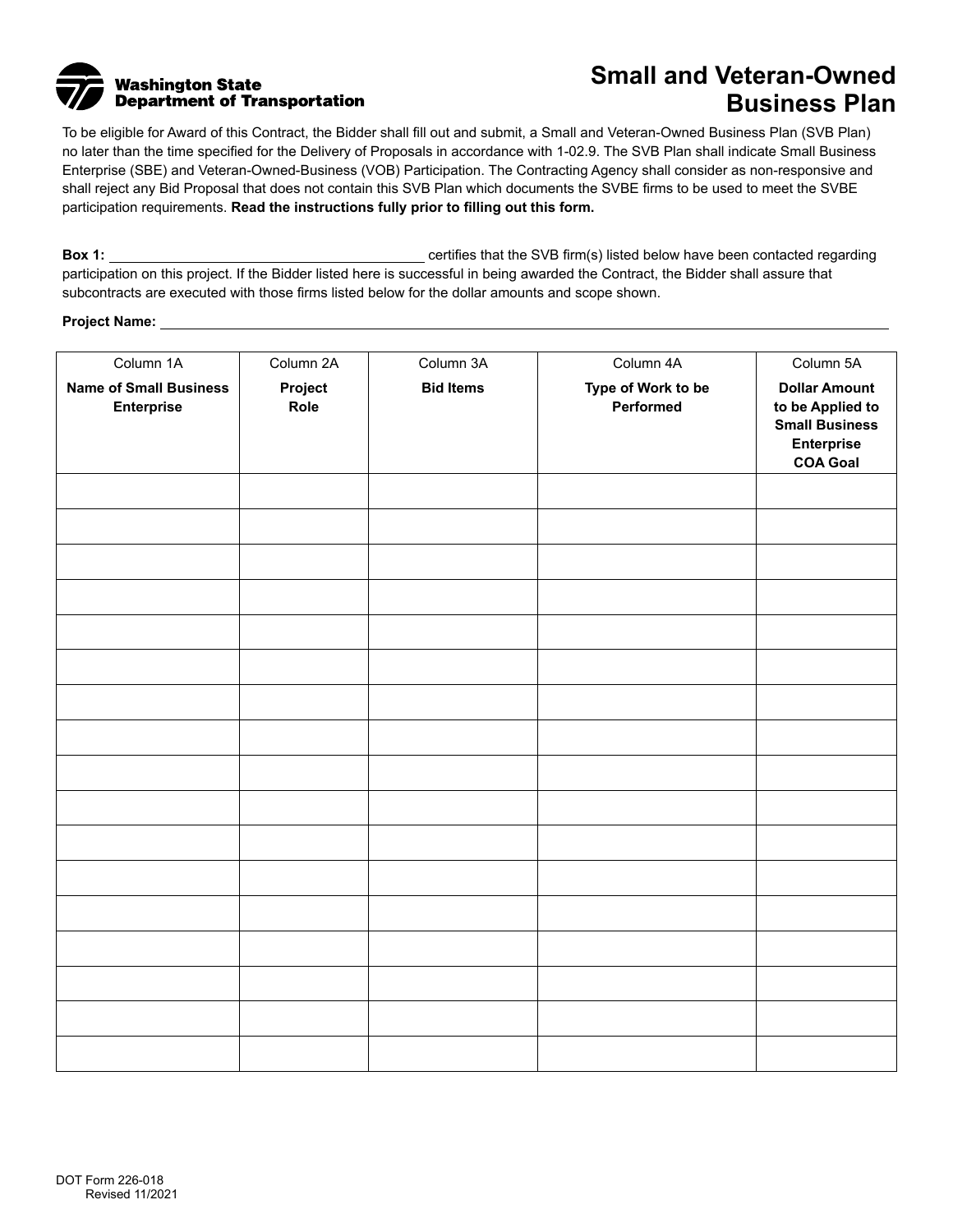

## **Small and Veteran-Owned Business Plan**

To be eligible for Award of this Contract, the Bidder shall fill out and submit, a Small and Veteran-Owned Business Plan (SVB Plan) no later than the time specified for the Delivery of Proposals in accordance with 1-02.9. The SVB Plan shall indicate Small Business Enterprise (SBE) and Veteran-Owned-Business (VOB) Participation. The Contracting Agency shall consider as non-responsive and shall reject any Bid Proposal that does not contain this SVB Plan which documents the SVBE firms to be used to meet the SVBE participation requirements. **Read the instructions fully prior to filling out this form.**

**Box 1:** certifies that the SVB firm(s) listed below have been contacted regarding participation on this project. If the Bidder listed here is successful in being awarded the Contract, the Bidder shall assure that subcontracts are executed with those firms listed below for the dollar amounts and scope shown.

## **Project Name:**

| Column 1A                                          | Column 2A                | Column 3A        | Column 4A                       | Column 5A                                                                                          |
|----------------------------------------------------|--------------------------|------------------|---------------------------------|----------------------------------------------------------------------------------------------------|
| <b>Name of Small Business</b><br><b>Enterprise</b> | Project<br>Role          | <b>Bid Items</b> | Type of Work to be<br>Performed | <b>Dollar Amount</b><br>to be Applied to<br><b>Small Business</b><br>Enterprise<br><b>COA Goal</b> |
|                                                    | $\left  \cdot \right $   |                  |                                 |                                                                                                    |
|                                                    | $\overline{\phantom{0}}$ |                  |                                 |                                                                                                    |
|                                                    | $\overline{\phantom{0}}$ |                  |                                 |                                                                                                    |
|                                                    | $\overline{\phantom{a}}$ |                  |                                 |                                                                                                    |
|                                                    | $\overline{\phantom{0}}$ |                  |                                 |                                                                                                    |
|                                                    | $\overline{\phantom{0}}$ |                  |                                 |                                                                                                    |
|                                                    | $\overline{\phantom{0}}$ |                  |                                 |                                                                                                    |
|                                                    | $\overline{\phantom{a}}$ |                  |                                 |                                                                                                    |
|                                                    | $\overline{\phantom{0}}$ |                  |                                 |                                                                                                    |
|                                                    | $\overline{\phantom{a}}$ |                  |                                 |                                                                                                    |
|                                                    | $\overline{\phantom{0}}$ |                  |                                 |                                                                                                    |
|                                                    | $\blacktriangledown$     |                  |                                 |                                                                                                    |
|                                                    | $\overline{\phantom{0}}$ |                  |                                 |                                                                                                    |
|                                                    | $\overline{\phantom{0}}$ |                  |                                 |                                                                                                    |
|                                                    | $\overline{\phantom{a}}$ |                  |                                 |                                                                                                    |
|                                                    | $\overline{\phantom{0}}$ |                  |                                 |                                                                                                    |
|                                                    | $\overline{\phantom{a}}$ |                  |                                 |                                                                                                    |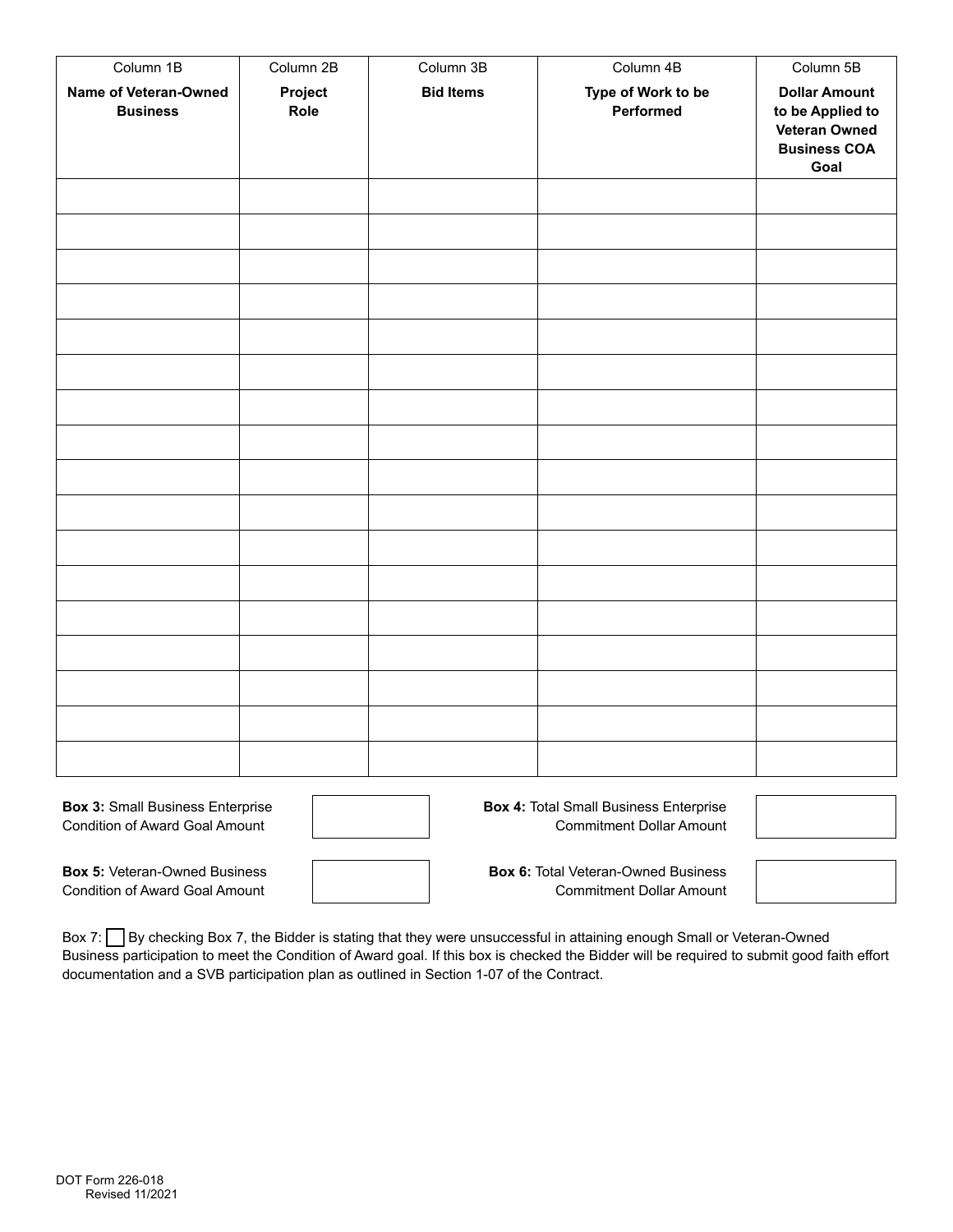| Column 1B                                | Column 2B                | Column 3B        | Column 4B                       | Column 5B                                                                                       |
|------------------------------------------|--------------------------|------------------|---------------------------------|-------------------------------------------------------------------------------------------------|
| Name of Veteran-Owned<br><b>Business</b> | Project<br>Role          | <b>Bid Items</b> | Type of Work to be<br>Performed | <b>Dollar Amount</b><br>to be Applied to<br><b>Veteran Owned</b><br><b>Business COA</b><br>Goal |
|                                          | $\blacktriangledown$     |                  |                                 |                                                                                                 |
|                                          | $\blacktriangledown$     |                  |                                 |                                                                                                 |
|                                          | $\overline{\phantom{a}}$ |                  |                                 |                                                                                                 |
|                                          | $\blacktriangledown$     |                  |                                 |                                                                                                 |
|                                          |                          |                  |                                 |                                                                                                 |
|                                          |                          |                  |                                 |                                                                                                 |
|                                          |                          |                  |                                 |                                                                                                 |
|                                          | $\overline{\phantom{a}}$ |                  |                                 |                                                                                                 |
|                                          | $\overline{\phantom{a}}$ |                  |                                 |                                                                                                 |
|                                          | ▼                        |                  |                                 |                                                                                                 |
|                                          | $\overline{\phantom{a}}$ |                  |                                 |                                                                                                 |
|                                          | ▼                        |                  |                                 |                                                                                                 |
|                                          | $\overline{\phantom{a}}$ |                  |                                 |                                                                                                 |
|                                          | $\overline{\phantom{a}}$ |                  |                                 |                                                                                                 |
|                                          | $\overline{\phantom{a}}$ |                  |                                 |                                                                                                 |
|                                          | $\blacktriangledown$     |                  |                                 |                                                                                                 |
|                                          | $\blacktriangledown$     |                  |                                 |                                                                                                 |

**Box 3:** Small Business Enterprise Condition of Award Goal Amount

**Box 5:** Veteran-Owned Business Condition of Award Goal Amount

**Box 4:** Total Small Business Enterprise Commitment Dollar Amount

**Box 6:** Total Veteran-Owned Business Commitment Dollar Amount

Box 7: By checking Box 7, the Bidder is stating that they were unsuccessful in attaining enough Small or Veteran-Owned Business participation to meet the Condition of Award goal. If this box is checked the Bidder will be required to submit good faith effort documentation and a SVB participation plan as outlined in Section 1-07 of the Contract.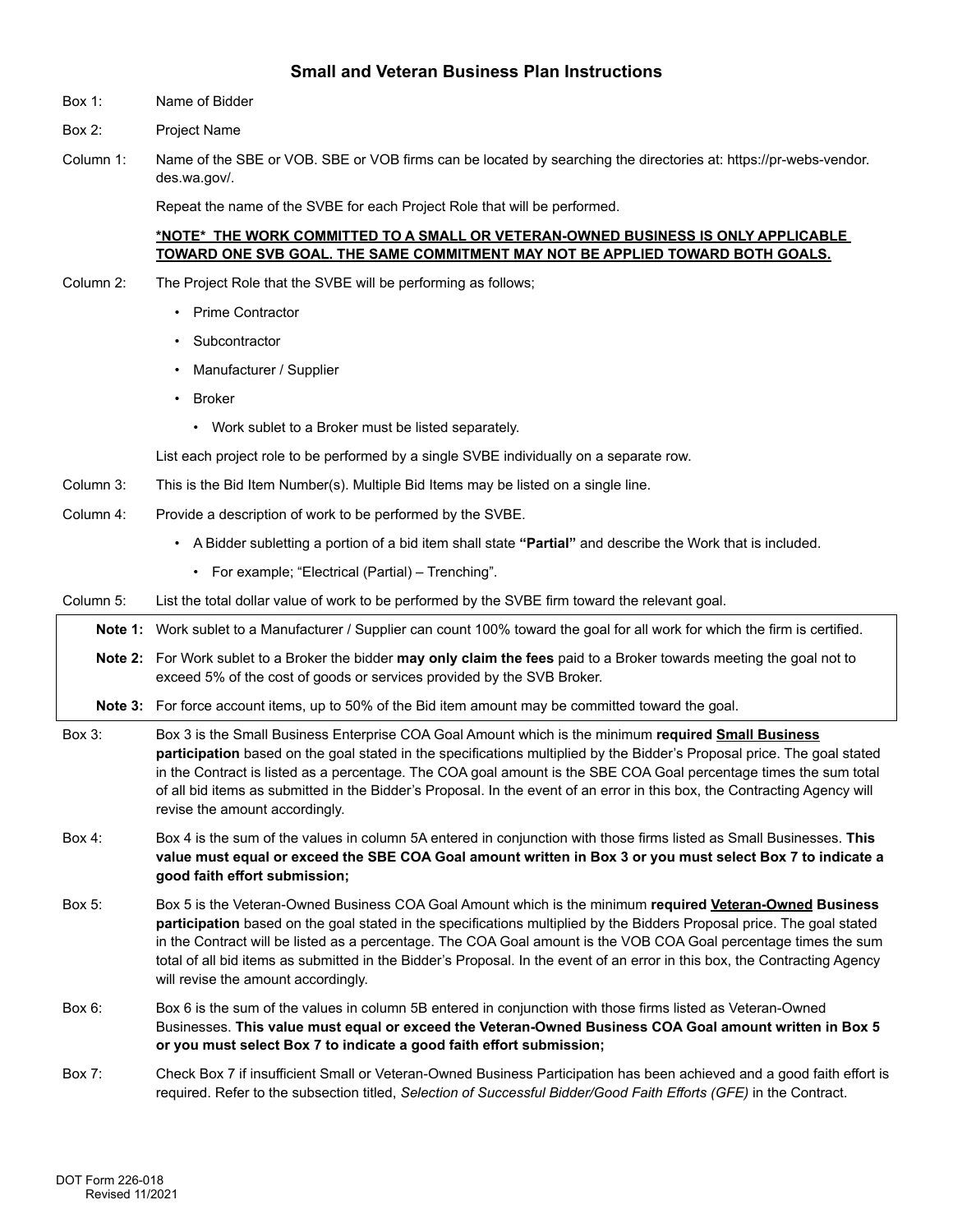## **Small and Veteran Business Plan Instructions**

- Box 1: Name of Bidder
- Box 2: Project Name
- Column 1: Name of the SBE or VOB. SBE or VOB firms can be located by searching the directories at: [https://pr-webs-vendor.](https://pr-webs-vendor) [des.wa.gov/](https://des.wa.gov).

Repeat the name of the SVBE for each Project Role that will be performed.

## **\*NOTE\* THE WORK COMMITTED TO A SMALL OR VETERAN-OWNED BUSINESS IS ONLY APPLICABLE TOWARD ONE SVB GOAL. THE SAME COMMITMENT MAY NOT BE APPLIED TOWARD BOTH GOALS.**

- Column 2: The Project Role that the SVBE will be performing as follows;
	- Prime Contractor
	- Subcontractor
	- Manufacturer / Supplier
	- Broker
		- Work sublet to a Broker must be listed separately.

List each project role to be performed by a single SVBE individually on a separate row.

- Column 3: This is the Bid Item Number(s). Multiple Bid Items may be listed on a single line.
- Column 4: Provide a description of work to be performed by the SVBE.
	- A Bidder subletting a portion of a bid item shall state **"Partial"** and describe the Work that is included.
		- For example; "Electrical (Partial) Trenching".
- Column 5: List the total dollar value of work to be performed by the SVBE firm toward the relevant goal.

**Note 1:** Work sublet to a Manufacturer / Supplier can count 100% toward the goal for all work for which the firm is certified.

**Note 2:** For Work sublet to a Broker the bidder **may only claim the fees** paid to a Broker towards meeting the goal not to exceed 5% of the cost of goods or services provided by the SVB Broker.

**Note 3:** For force account items, up to 50% of the Bid item amount may be committed toward the goal.

- Box 3: Box 3 is the Small Business Enterprise COA Goal Amount which is the minimum **required Small Business participation** based on the goal stated in the specifications multiplied by the Bidder's Proposal price. The goal stated in the Contract is listed as a percentage. The COA goal amount is the SBE COA Goal percentage times the sum total of all bid items as submitted in the Bidder's Proposal. In the event of an error in this box, the Contracting Agency will revise the amount accordingly.
- Box 4: Box 4 is the sum of the values in column 5A entered in conjunction with those firms listed as Small Businesses. **This value must equal or exceed the SBE COA Goal amount written in Box 3 or you must select Box 7 to indicate a good faith effort submission;**
- Box 5: Box 5 is the Veteran-Owned Business COA Goal Amount which is the minimum **required Veteran-Owned Business participation** based on the goal stated in the specifications multiplied by the Bidders Proposal price. The goal stated in the Contract will be listed as a percentage. The COA Goal amount is the VOB COA Goal percentage times the sum total of all bid items as submitted in the Bidder's Proposal. In the event of an error in this box, the Contracting Agency will revise the amount accordingly.
- Box 6: Box 6 is the sum of the values in column 5B entered in conjunction with those firms listed as Veteran-Owned Businesses. **This value must equal or exceed the Veteran-Owned Business COA Goal amount written in Box 5 or you must select Box 7 to indicate a good faith effort submission;**
- Box 7: Check Box 7 if insufficient Small or Veteran-Owned Business Participation has been achieved and a good faith effort is required. Refer to the subsection titled, *Selection of Successful Bidder/Good Faith Efforts (GFE)* in the Contract.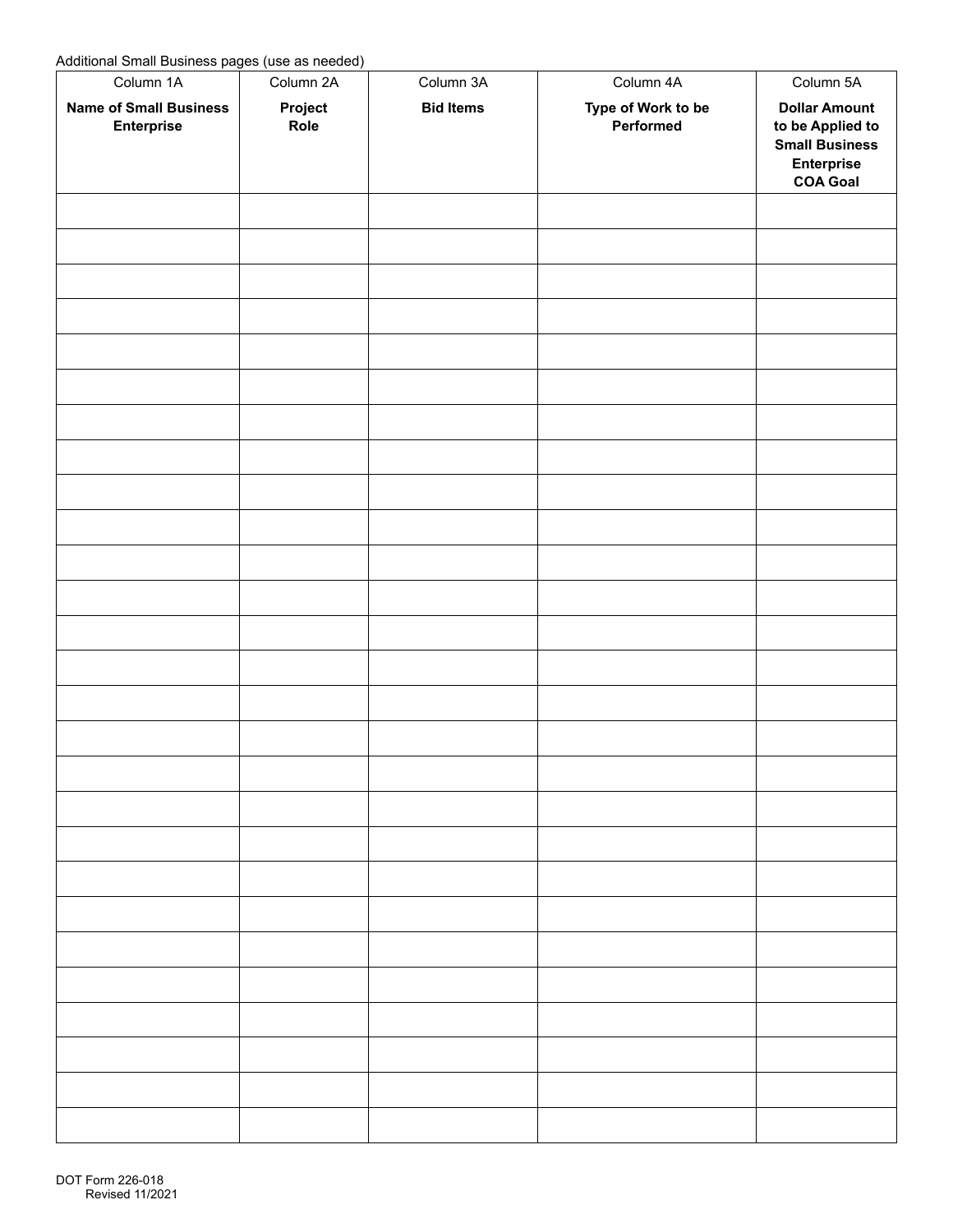Additional Small Business pages (use as needed)

| <u>. .</u><br>Column 1A                     | $\prime$<br>Column 2A                                           | Column 3A        | Column 4A                       | Column 5A                                                                                          |
|---------------------------------------------|-----------------------------------------------------------------|------------------|---------------------------------|----------------------------------------------------------------------------------------------------|
| <b>Name of Small Business</b><br>Enterprise | Project<br>Role                                                 | <b>Bid Items</b> | Type of Work to be<br>Performed | <b>Dollar Amount</b><br>to be Applied to<br><b>Small Business</b><br>Enterprise<br><b>COA Goal</b> |
|                                             | $\overline{\phantom{0}}$                                        |                  |                                 |                                                                                                    |
|                                             | ▼                                                               |                  |                                 |                                                                                                    |
|                                             | $\overline{\phantom{0}}$                                        |                  |                                 |                                                                                                    |
|                                             | $\overline{\phantom{0}}$                                        |                  |                                 |                                                                                                    |
|                                             | $\overline{\phantom{0}}$                                        |                  |                                 |                                                                                                    |
|                                             | $\blacktriangledown$                                            |                  |                                 |                                                                                                    |
|                                             | $\overline{\phantom{0}}$                                        |                  |                                 |                                                                                                    |
|                                             | $\overline{\phantom{0}}$                                        |                  |                                 |                                                                                                    |
|                                             | $\left( \begin{matrix} \bullet \\ \bullet \end{matrix} \right)$ |                  |                                 |                                                                                                    |
|                                             | $\blacktriangledown$                                            |                  |                                 |                                                                                                    |
|                                             | $\blacktriangledown$                                            |                  |                                 |                                                                                                    |
|                                             | $\overline{\phantom{0}}$                                        |                  |                                 |                                                                                                    |
|                                             | $\blacktriangledown$                                            |                  |                                 |                                                                                                    |
|                                             | $\blacktriangledown$                                            |                  |                                 |                                                                                                    |
|                                             | $\blacktriangledown$                                            |                  |                                 |                                                                                                    |
|                                             | $\overline{\phantom{0}}$                                        |                  |                                 |                                                                                                    |
|                                             |                                                                 |                  |                                 |                                                                                                    |
|                                             | $\blacktriangledown$                                            |                  |                                 |                                                                                                    |
|                                             | $\overline{\phantom{a}}$                                        |                  |                                 |                                                                                                    |
|                                             | $\blacktriangledown$<br>$\blacktriangledown$                    |                  |                                 |                                                                                                    |
|                                             | $\blacktriangledown$                                            |                  |                                 |                                                                                                    |
|                                             | $\blacktriangledown$                                            |                  |                                 |                                                                                                    |
|                                             | ▼                                                               |                  |                                 |                                                                                                    |
|                                             | $\blacktriangledown$                                            |                  |                                 |                                                                                                    |
|                                             | $\blacktriangledown$                                            |                  |                                 |                                                                                                    |
|                                             | $\blacktriangledown$                                            |                  |                                 |                                                                                                    |
|                                             |                                                                 |                  |                                 |                                                                                                    |